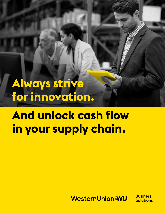**Always strive for innovation.**

**And unlock cash flow in your supply chain.**

WesternUnion WU

**Business** Solutions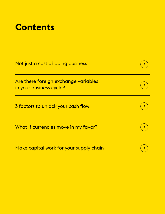## **Contents**

| Not just a cost of doing business                               |  |
|-----------------------------------------------------------------|--|
| Are there foreign exchange variables<br>in your business cycle? |  |
| 3 factors to unlock your cash flow                              |  |
| What if currencies move in my favor?                            |  |
| Make capital work for your supply chain                         |  |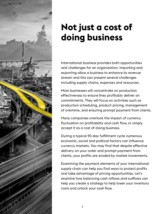<span id="page-2-0"></span>

## **Not just a cost of doing business**

International business provides both opportunities and challenges for an organization. Importing and exporting allow a business to enhance its revenue stream and this can present several challenges including supply chains, expenses and resources.

Most businesses will concentrate on production effectiveness to ensure they profitably deliver on commitments. They will focus on activities such as production scheduling, product pricing, management of overtime, and ensuring prompt payment from clients.

Many companies overlook the impact of currency fluctuation on profitability and cash flow, or simply accept it as a cost of doing business.

During a typical 90-day fulfillment cycle numerous economic, social and political factors can influence currency markets. You may find that despite effective delivery on your order and prompt payment from clients, your profits are eroded by market movements.

Examining the payment elements of your international supply chain can help you find ways to protect profits and take advantage of pricing opportunities. Let's examine how balancing cash inflows and outflows can help you create a strategy to help lower your inventory costs and unlock your cash flow.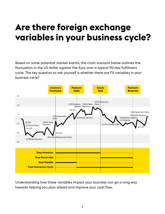## <span id="page-3-0"></span>**Are there foreign exchange variables in your business cycle?**

Based on some potential market events, the chart scenario below outlines the fluctuation in the US dollar against the Euro over a typical 90-day fulfilment cycle. The key question to ask yourself is whether there are FX variables in your business cycle?



Understanding how these variables impact your business can go a long way towards helping you plan ahead and improve your cash flow.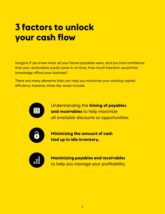## <span id="page-4-0"></span>**3 factors to unlock your cash flow**

Imagine if you knew what all your future payables were, and you had confidence that your receivables would come in on time. How much freedom would that knowledge afford your business?

There are many elements that can help you maximize your working capital efficiency however, three key areas include:



Understanding the **timing of payables and receivables** to help maximize all available discounts or opportunities.



**Minimizing the amount of cash tied up in idle inventory.**



**Maximizing payables and receivables** to help you manage your profitability.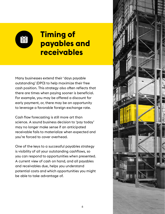

### **Timing of payables and receivables**

Many businesses extend their 'days payable outstanding' (DPO) to help maximize their free cash position. This strategy also often reflects that there are times when paying sooner is beneficial. For example, you may be offered a discount for early payment, or, there may be an opportunity to leverage a favorable foreign exchange rate.

Cash flow forecasting is still more art than science. A sound business decision to 'pay today' may no longer make sense if an anticipated receivable fails to materialize when expected and you're forced to cover overhead.

One of the keys to a successful payables strategy is visibility of all your outstanding cashflows, so you can respond to opportunities when presented. A current view of cash on hand, and all payables and receivables due, helps you understand potential costs and which opportunities you might be able to take advantage of.

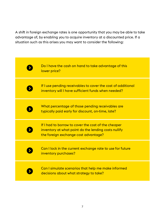A shift in foreign exchange rates is one opportunity that you may be able to take advantage of, by enabling you to acquire inventory at a discounted price. If a situation such as this arises you may want to consider the following:

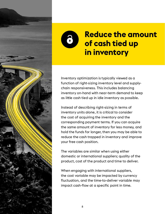



### **Reduce the amount of cash tied up in inventory**

Inventory optimization is typically viewed as a function of right-sizing inventory level and supplychain responsiveness. This includes balancing inventory on-hand with near-term demand to keep as little cash tied up in idle inventory as possible.

Instead of describing right-sizing in terms of inventory units alone, it is critical to consider the cost of acquiring the inventory and the corresponding payment terms. If you can acquire the same amount of inventory for less money, and hold the funds for longer, then you may be able to reduce the cash trapped in inventory and improve your free cash position.

The variables are similar when using either domestic or international suppliers; quality of the product, cost of the product and time to deliver.

When engaging with international suppliers, the cost variable may be impacted by currency fluctuation, and the time-to-deliver variable may impact cash-flow at a specific point in time.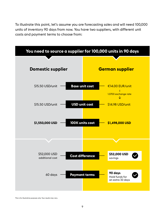To illustrate this point, let's assume you are forecasting sales and will need 100,000 units of inventory 90 days from now. You have two suppliers, with different unit costs and payment terms to choose from:



This is for illustrative purposes only. Your results may vary.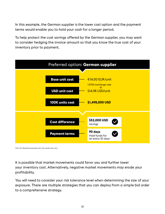In this example, the German supplier is the lower cost option and the payment terms would enable you to hold your cash for a longer period.

To help protect the cost savings offered by the German supplier, you may want to consider hedging the invoice amount so that you know the true cost of your inventory prior to payment.



This is for illustrative purposes only. Your results may vary.

It is possible that market movements could favor you and further lower your inventory cost. Alternatively, negative market movements may erode your profitability.

You will need to consider your risk tolerance level when determining the size of your exposure. There are multiple strategies that you can deploy from a simple bid order to a comprehensive strategy.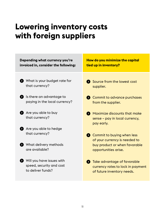### **Lowering inventory costs with foreign suppliers**

| Depending what currency you're<br>invoiced in, consider the following:     | How do you minimize the capital<br>tied up in inventory?                                                |
|----------------------------------------------------------------------------|---------------------------------------------------------------------------------------------------------|
| What is your budget rate for<br>that currency?                             | Source from the lowest cost<br>supplier.                                                                |
| Is there an advantage to<br>$\bullet$<br>paying in the local currency?     | Commit to advance purchases<br>from the supplier.                                                       |
| Are you able to buy<br>that currency?                                      | Maximize discounts that make<br>sense – pay in local currency,<br>pay early.                            |
| Are you able to hedge<br>that currency?                                    | • Commit to buying when less                                                                            |
| What delivery methods<br>are available?                                    | of your currency is needed to<br>buy product or when favorable<br>opportunities arise.                  |
| Will you have issues with<br>speed, security and cost<br>to deliver funds? | <b>S</b> Take advantage of favorable<br>currency rates to lock in payment<br>of future inventory needs. |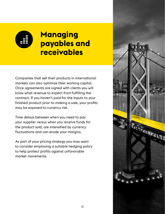

### **Managing payables and receivables**

Companies that sell their products in international markets can also optimize their working capital. Once agreements are signed with clients you will know what revenue to expect from fulfilling the contract. If you haven't paid for the inputs to your finished product prior to making a sale, your profits may be exposed to currency risk.

Time delays between when you need to pay your supplier versus when you receive funds for the product sold, are intensified by currency fluctuations and can erode your margins.

As part of your pricing strategy you may want to consider employing a suitable hedging policy to help protect profits against unfavorable market movements.

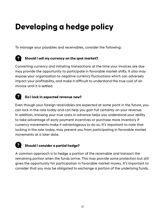## **Developing a hedge policy**

To manage your payables and receivables, consider the following:



### **Should I sell my currency on the spot market?**

Converting currency and initiating transactions at the time your invoices are due may provide the opportunity to participate in favorable market shifts. It also may expose your organization to negative currency fluctuations which can adversely impact your profitability, and make it difficult to understand the true cost of an invoice until it is settled.

#### 3 **Do I lock in expected revenue now?**

Even though your foreign receivables are expected at some point in the future, you can lock in the rate today and can help you gain full certainty on your revenue. In addition, knowing your true costs in advance helps you understand your ability to take advantage of early payment incentives or purchase more inventory if currency movements make it advantageous to do so. It's important to note that locking in the rate today, may prevent you from participating in favorable market movements at a later date.

#### 2 **Should I consider a partial hedge?**

A common approach is to hedge a portion of the receivable and transact the remaining portion when the funds arrive. This may provide some protection but still gives the opportunity for participation in favorable market moves. It's important to consider that you may be obligated to exchange a portion of the underlying funds.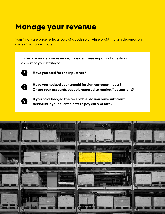### **Manage your revenue**

Your final sale price reflects cost of goods sold, while profit margin depends on costs of variable inputs.

To help manage your revenue, consider these important questions as part of your strategy:



**Have you paid for the inputs yet?**



**Have you hedged your unpaid foreign currency inputs? Or are your accounts payable exposed to market fluctuations?**



**If you have hedged the receivable, do you have sufficient flexibility if your client elects to pay early or late?**

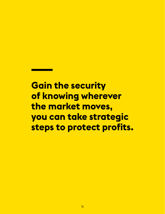**Gain the security of knowing wherever the market moves, you can take strategic steps to protect profits.**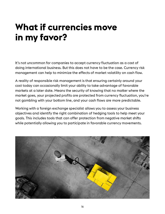# <span id="page-15-0"></span>**What if currencies move in my favor?**

It's not uncommon for companies to accept currency fluctuation as a cost of doing international business. But this does not have to be the case. Currency risk management can help to minimize the effects of market volatility on cash flow.

A reality of responsible risk management is that ensuring certainly around your cost today can occasionally limit your ability to take advantage of favorable markets at a later date. Means the security of knowing that no matter where the market goes, your projected profits are protected from currency fluctuation, you're not gambling with your bottom line, and your cash flows are more predictable.

Working with a foreign exchange specialist allows you to assess your business objectives and identify the right combination of hedging tools to help meet your goals. This includes tools that can offer protection from negative market shifts while potentially allowing you to participate in favorable currency movements.

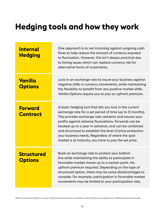## **Hedging tools and how they work**

| <b>Internal</b><br><b>Hedging</b>   | One approach is to net incoming against outgoing cash<br>flows to help reduce the amount of currency exposed<br>to fluctuation. However, this isn't always practical due<br>to timing issues which can replace currency risk for<br>alternative forms of uncertainty.                                                                                                                                                                                                    |
|-------------------------------------|--------------------------------------------------------------------------------------------------------------------------------------------------------------------------------------------------------------------------------------------------------------------------------------------------------------------------------------------------------------------------------------------------------------------------------------------------------------------------|
| Vanilla<br><b>Options</b>           | Lock in an exchange rate to insure your business against<br>negative shifts in currency movements, while maintaining<br>the flexibility to benefit from any positive market shifts.<br>Vanilla Options require you to pay an upfront premium.                                                                                                                                                                                                                            |
| <b>Forward</b><br><b>Contract</b>   | A basic hedging tool that lets you lock in the current<br>exchange rate for a set period of time (up to 12 months).<br>This provides exchange rate certainty and insures your<br>profits against adverse fluctuations. Forwards can be<br>booked up to a year in advance, and can be combined<br>and structured to establish the level of price protection<br>your business needs. Regardless of where the spot<br>market is at maturity, you have to pay the set price. |
| <b>Structured</b><br><b>Options</b> | Book an exchange rate to protect your bottom<br>line while maintaining the ability to participate in<br>favorable market moves up to a certain point. No<br>upfront premium required. Depending on the type of<br>structured option, there may be some disadvantages to<br>consider. For example, participation in favorable market<br>movements may be limited to your participation rate.                                                                              |

Western Union Business Solutions is an issuer of these products and would be a counterparty to any transactions you undertake with us. Eligibilty requirements may apply.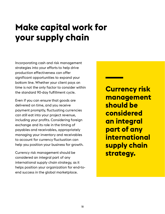# <span id="page-17-0"></span>**Make capital work for your supply chain**

Incorporating cash and risk management strategies into your efforts to help drive production effectiveness can offer significant opportunities to expand your bottom line. Whether your client pays on time is not the only factor to consider within the standard 90-day fulfillment cycle.

Even if you can ensure that goods are delivered on time, and you receive payment promptly, fluctuating currencies can still eat into your project revenue, including your profits. Considering foreign exchange and its role in the timing of payables and receivables, appropriately managing your inventory and receivables to account for currency fluctuation can help you position your business for growth.

Currency risk management should be considered an integral part of any international supply chain strategy, as it helps position your organization for end-toend success in the global marketplace.

**Currency risk management should be considered an integral part of any international supply chain strategy.**